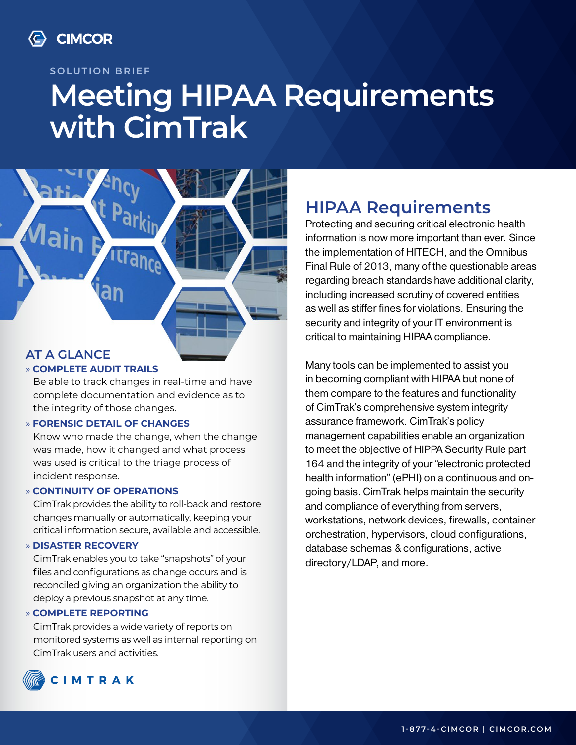

#### **SOLUTION BRIEF**

# **Meeting HIPAA Requirements with CimTrak**



### **AT A GLANCE**

#### » **COMPLETE AUDIT TRAILS**

Be able to track changes in real-time and have complete documentation and evidence as to the integrity of those changes.

#### » **FORENSIC DETAIL OF CHANGES**

Know who made the change, when the change was made, how it changed and what process was used is critical to the triage process of incident response.

#### » **CONTINUITY OF OPERATIONS**

CimTrak provides the ability to roll-back and restore changes manually or automatically, keeping your critical information secure, available and accessible.

#### » **DISASTER RECOVERY**

CimTrak enables you to take "snapshots" of your files and configurations as change occurs and is reconciled giving an organization the ability to deploy a previous snapshot at any time.

#### » **COMPLETE REPORTING**

CimTrak provides a wide variety of reports on monitored systems as well as internal reporting on CimTrak users and activities.

### **HIPAA Requirements**

Protecting and securing critical electronic health information is now more important than ever. Since the implementation of HITECH, and the Omnibus Final Rule of 2013, many of the questionable areas regarding breach standards have additional clarity, including increased scrutiny of covered entities as well as stiffer fines for violations. Ensuring the security and integrity of your IT environment is critical to maintaining HIPAA compliance.

Many tools can be implemented to assist you in becoming compliant with HIPAA but none of them compare to the features and functionality of CimTrak's comprehensive system integrity assurance framework. CimTrak's policy management capabilities enable an organization to meet the objective of HIPPA Security Rule part 164 and the integrity of your "electronic protected health information" (ePHI) on a continuous and ongoing basis. CimTrak helps maintain the security and compliance of everything from servers, workstations, network devices, firewalls, container orchestration, hypervisors, cloud configurations, database schemas & configurations, active directory/LDAP, and more.

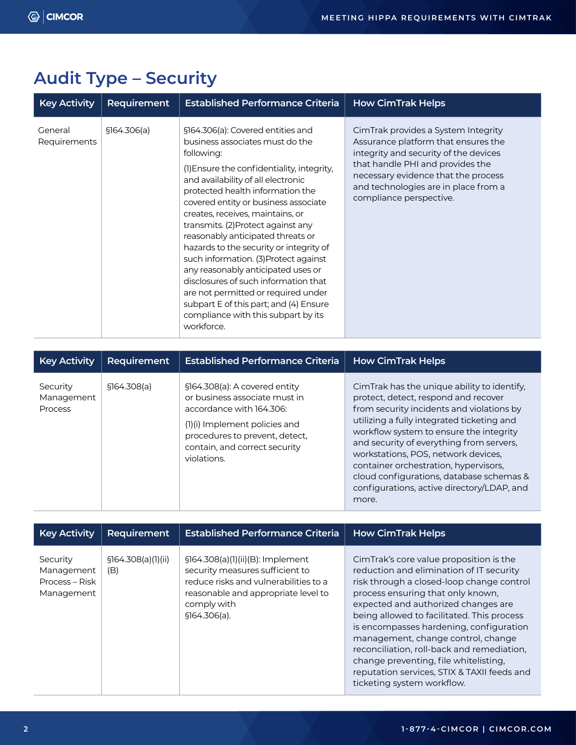# **Audit Type – Security**

| <b>Key Activity</b>     | Requirement  | <b>Established Performance Criteria</b>                                                                                                                                                                                                                                                                                                                                                                                                                                                                                                                                                                                                                                   | <b>How CimTrak Helps</b>                                                                                                                                                                                                                                          |
|-------------------------|--------------|---------------------------------------------------------------------------------------------------------------------------------------------------------------------------------------------------------------------------------------------------------------------------------------------------------------------------------------------------------------------------------------------------------------------------------------------------------------------------------------------------------------------------------------------------------------------------------------------------------------------------------------------------------------------------|-------------------------------------------------------------------------------------------------------------------------------------------------------------------------------------------------------------------------------------------------------------------|
| General<br>Requirements | \$164.306(a) | §164.306(a): Covered entities and<br>business associates must do the<br>following:<br>(1) Ensure the confidentiality, integrity,<br>and availability of all electronic<br>protected health information the<br>covered entity or business associate<br>creates, receives, maintains, or<br>transmits. (2) Protect against any<br>reasonably anticipated threats or<br>hazards to the security or integrity of<br>such information. (3) Protect against<br>any reasonably anticipated uses or<br>disclosures of such information that<br>are not permitted or required under<br>subpart E of this part; and (4) Ensure<br>compliance with this subpart by its<br>workforce. | CimTrak provides a System Integrity<br>Assurance platform that ensures the<br>integrity and security of the devices<br>that handle PHI and provides the<br>necessary evidence that the process<br>and technologies are in place from a<br>compliance perspective. |

| <b>Key Activity</b>                      | <b>Requirement</b> | <b>Established Performance Criteria</b>                                                                                                                                                                       | <b>How CimTrak Helps</b>                                                                                                                                                                                                                                                                                                                                                                                                                                 |
|------------------------------------------|--------------------|---------------------------------------------------------------------------------------------------------------------------------------------------------------------------------------------------------------|----------------------------------------------------------------------------------------------------------------------------------------------------------------------------------------------------------------------------------------------------------------------------------------------------------------------------------------------------------------------------------------------------------------------------------------------------------|
| Security<br>Management<br><b>Process</b> | \$164.308(a)       | §164.308(a): A covered entity<br>or business associate must in<br>accordance with 164.306:<br>(1)(i) Implement policies and<br>procedures to prevent, detect,<br>contain, and correct security<br>violations. | CimTrak has the unique ability to identify,<br>protect, detect, respond and recover<br>from security incidents and violations by<br>utilizing a fully integrated ticketing and<br>workflow system to ensure the integrity<br>and security of everything from servers,<br>workstations, POS, network devices,<br>container orchestration, hypervisors,<br>cloud configurations, database schemas &<br>configurations, active directory/LDAP, and<br>more. |

| <b>Key Activity</b>                                    | <b>Requirement</b>         | <b>Established Performance Criteria</b>                                                                                                                                               | <b>How CimTrak Helps</b>                                                                                                                                                                                                                                                                                                                                                                                                                                                                                        |
|--------------------------------------------------------|----------------------------|---------------------------------------------------------------------------------------------------------------------------------------------------------------------------------------|-----------------------------------------------------------------------------------------------------------------------------------------------------------------------------------------------------------------------------------------------------------------------------------------------------------------------------------------------------------------------------------------------------------------------------------------------------------------------------------------------------------------|
| Security<br>Management<br>Process – Risk<br>Management | \$164.308(a)(1)(ii)<br>(B) | $$164.308(a)(1)(ii)(B):$ Implement<br>security measures sufficient to<br>reduce risks and vulnerabilities to a<br>reasonable and appropriate level to<br>comply with<br>\$164.306(a). | CimTrak's core value proposition is the<br>reduction and elimination of IT security<br>risk through a closed-loop change control<br>process ensuring that only known,<br>expected and authorized changes are<br>being allowed to facilitated. This process<br>is encompasses hardening, configuration<br>management, change control, change<br>reconciliation, roll-back and remediation,<br>change preventing, file whitelisting.<br>reputation services, STIX & TAXII feeds and<br>ticketing system workflow. |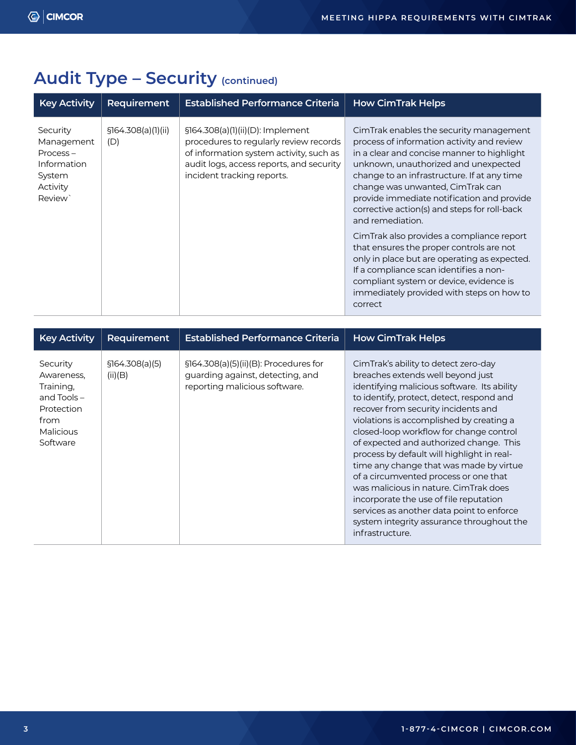# Audit Type - Security (continued)

| <b>Key Activity</b>                                                                  | Requirement                | <b>Established Performance Criteria</b>                                                                                                                                                           | <b>How CimTrak Helps</b>                                                                                                                                                                                                                                                                                                                                                         |
|--------------------------------------------------------------------------------------|----------------------------|---------------------------------------------------------------------------------------------------------------------------------------------------------------------------------------------------|----------------------------------------------------------------------------------------------------------------------------------------------------------------------------------------------------------------------------------------------------------------------------------------------------------------------------------------------------------------------------------|
| Security<br>Management<br>$Process -$<br>Information<br>System<br>Activity<br>Review | \$164.308(a)(1)(ii)<br>(D) | $$164.308(a)(1)(ii)(D):$ Implement<br>procedures to regularly review records<br>of information system activity, such as<br>audit logs, access reports, and security<br>incident tracking reports. | CimTrak enables the security management<br>process of information activity and review<br>in a clear and concise manner to highlight<br>unknown, unauthorized and unexpected<br>change to an infrastructure. If at any time<br>change was unwanted, CimTrak can<br>provide immediate notification and provide<br>corrective action(s) and steps for roll-back<br>and remediation. |
|                                                                                      |                            |                                                                                                                                                                                                   | CimTrak also provides a compliance report<br>that ensures the proper controls are not<br>only in place but are operating as expected.<br>If a compliance scan identifies a non-<br>compliant system or device, evidence is<br>immediately provided with steps on how to<br>correct                                                                                               |

| <b>Key Activity</b>                                                                                        | <b>Requirement</b>         | <b>Established Performance Criteria</b>                                                                    | <b>How CimTrak Helps</b>                                                                                                                                                                                                                                                                                                                                                                                                                                                                                                                                                                                                                                                         |
|------------------------------------------------------------------------------------------------------------|----------------------------|------------------------------------------------------------------------------------------------------------|----------------------------------------------------------------------------------------------------------------------------------------------------------------------------------------------------------------------------------------------------------------------------------------------------------------------------------------------------------------------------------------------------------------------------------------------------------------------------------------------------------------------------------------------------------------------------------------------------------------------------------------------------------------------------------|
| Security<br>Awareness,<br>Training,<br>and Tools $-$<br>Protection<br>from<br><b>Malicious</b><br>Software | \$164.308(a)(5)<br>(ii)(B) | §164.308(a)(5)(ii)(B): Procedures for<br>guarding against, detecting, and<br>reporting malicious software. | CimTrak's ability to detect zero-day<br>breaches extends well beyond just<br>identifying malicious software. Its ability<br>to identify, protect, detect, respond and<br>recover from security incidents and<br>violations is accomplished by creating a<br>closed-loop workflow for change control<br>of expected and authorized change. This<br>process by default will highlight in real-<br>time any change that was made by virtue<br>of a circumvented process or one that<br>was malicious in nature. CimTrak does<br>incorporate the use of file reputation<br>services as another data point to enforce<br>system integrity assurance throughout the<br>infrastructure. |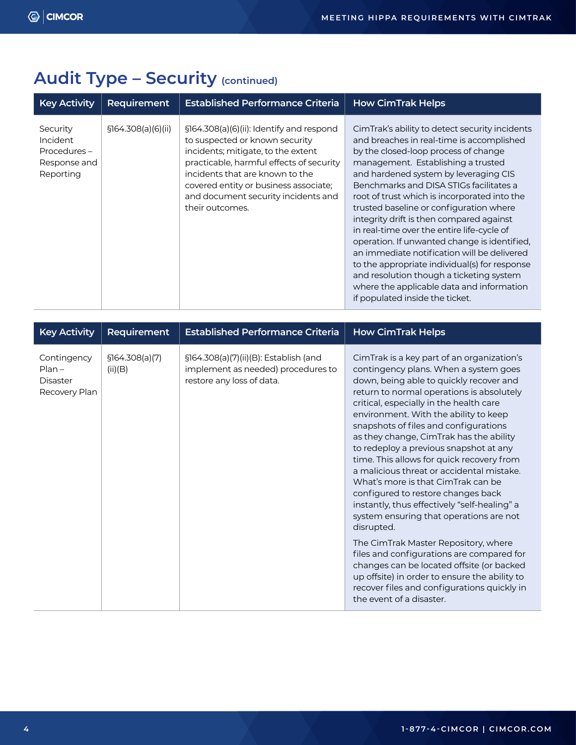|  |  | <b>Audit Type - Security (continued)</b> |  |
|--|--|------------------------------------------|--|
|--|--|------------------------------------------|--|

| <b>Key Activity</b>                                              | Requirement         | <b>Established Performance Criteria</b>                                                                                                                                                                                                                                                              | <b>How CimTrak Helps</b>                                                                                                                                                                                                                                                                                                                                                                                                                                                                                                                                                                                                                                                                                                       |
|------------------------------------------------------------------|---------------------|------------------------------------------------------------------------------------------------------------------------------------------------------------------------------------------------------------------------------------------------------------------------------------------------------|--------------------------------------------------------------------------------------------------------------------------------------------------------------------------------------------------------------------------------------------------------------------------------------------------------------------------------------------------------------------------------------------------------------------------------------------------------------------------------------------------------------------------------------------------------------------------------------------------------------------------------------------------------------------------------------------------------------------------------|
| Security<br>Incident<br>Procedures-<br>Response and<br>Reporting | \$164.308(a)(6)(ii) | $$164.308(a)(6)(ii):$ Identify and respond<br>to suspected or known security<br>incidents; mitigate, to the extent<br>practicable, harmful effects of security<br>incidents that are known to the<br>covered entity or business associate;<br>and document security incidents and<br>their outcomes. | CimTrak's ability to detect security incidents<br>and breaches in real-time is accomplished<br>by the closed-loop process of change<br>management. Establishing a trusted<br>and hardened system by leveraging CIS<br>Benchmarks and DISA STIGs facilitates a<br>root of trust which is incorporated into the<br>trusted baseline or configuration where<br>integrity drift is then compared against<br>in real-time over the entire life-cycle of<br>operation. If unwanted change is identified,<br>an immediate notification will be delivered<br>to the appropriate individual(s) for response<br>and resolution though a ticketing system<br>where the applicable data and information<br>if populated inside the ticket. |

| <b>Key Activity</b>                                         | Requirement                | <b>Established Performance Criteria</b>                                                                  | <b>How CimTrak Helps</b>                                                                                                                                                                                                                                                                                                                                                                                                                                                                                                                                                                                                                                                     |
|-------------------------------------------------------------|----------------------------|----------------------------------------------------------------------------------------------------------|------------------------------------------------------------------------------------------------------------------------------------------------------------------------------------------------------------------------------------------------------------------------------------------------------------------------------------------------------------------------------------------------------------------------------------------------------------------------------------------------------------------------------------------------------------------------------------------------------------------------------------------------------------------------------|
| Contingency<br>$Plan -$<br><b>Disaster</b><br>Recovery Plan | \$164.308(a)(7)<br>(ii)(B) | §164.308(a)(7)(ii)(B): Establish (and<br>implement as needed) procedures to<br>restore any loss of data. | CimTrak is a key part of an organization's<br>contingency plans. When a system goes<br>down, being able to quickly recover and<br>return to normal operations is absolutely<br>critical, especially in the health care<br>environment. With the ability to keep<br>snapshots of files and configurations<br>as they change, CimTrak has the ability<br>to redeploy a previous snapshot at any<br>time. This allows for quick recovery from<br>a malicious threat or accidental mistake.<br>What's more is that CimTrak can be<br>configured to restore changes back<br>instantly, thus effectively "self-healing" a<br>system ensuring that operations are not<br>disrupted. |
|                                                             |                            |                                                                                                          | The CimTrak Master Repository, where<br>files and configurations are compared for<br>changes can be located offsite (or backed<br>up offsite) in order to ensure the ability to<br>recover files and configurations quickly in<br>the event of a disaster.                                                                                                                                                                                                                                                                                                                                                                                                                   |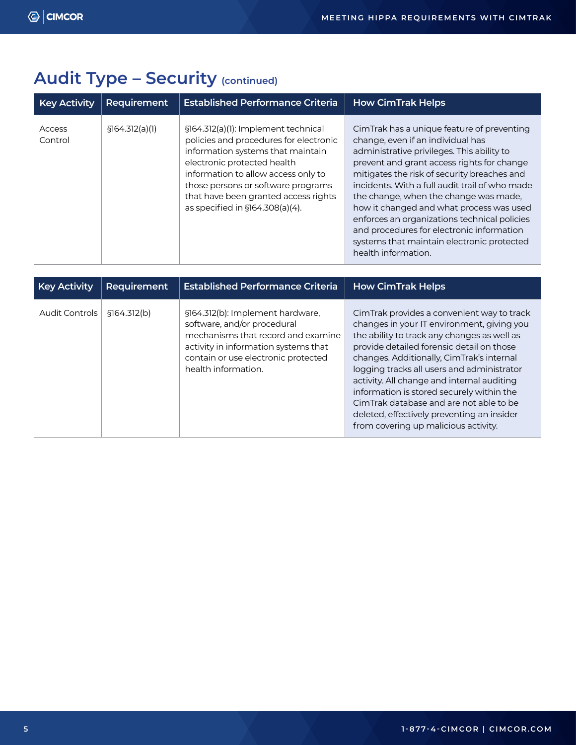|  |  | <b>Audit Type - Security (continued)</b> |  |
|--|--|------------------------------------------|--|
|--|--|------------------------------------------|--|

| <b>Key Activity</b> | Requirement     | <b>Established Performance Criteria</b>                                                                                                                                                                                                                                                                   | <b>How CimTrak Helps</b>                                                                                                                                                                                                                                                                                                                                                                                                                                                                                                            |
|---------------------|-----------------|-----------------------------------------------------------------------------------------------------------------------------------------------------------------------------------------------------------------------------------------------------------------------------------------------------------|-------------------------------------------------------------------------------------------------------------------------------------------------------------------------------------------------------------------------------------------------------------------------------------------------------------------------------------------------------------------------------------------------------------------------------------------------------------------------------------------------------------------------------------|
| Access<br>Control   | \$164.312(a)(1) | §164.312(a)(1): Implement technical<br>policies and procedures for electronic<br>information systems that maintain<br>electronic protected health<br>information to allow access only to<br>those persons or software programs<br>that have been granted access rights<br>as specified in §164.308(a)(4). | CimTrak has a unique feature of preventing<br>change, even if an individual has<br>administrative privileges. This ability to<br>prevent and grant access rights for change<br>mitigates the risk of security breaches and<br>incidents. With a full audit trail of who made<br>the change, when the change was made,<br>how it changed and what process was used<br>enforces an organizations technical policies<br>and procedures for electronic information<br>systems that maintain electronic protected<br>health information. |

| <b>Key Activity</b>   | Requirement  | <b>Established Performance Criteria</b>                                                                                                                                                                     | <b>How CimTrak Helps</b>                                                                                                                                                                                                                                                                                                                                                                                                                                                                                    |
|-----------------------|--------------|-------------------------------------------------------------------------------------------------------------------------------------------------------------------------------------------------------------|-------------------------------------------------------------------------------------------------------------------------------------------------------------------------------------------------------------------------------------------------------------------------------------------------------------------------------------------------------------------------------------------------------------------------------------------------------------------------------------------------------------|
| <b>Audit Controls</b> | \$164.312(b) | §164.312(b): Implement hardware,<br>software, and/or procedural<br>mechanisms that record and examine<br>activity in information systems that<br>contain or use electronic protected<br>health information. | CimTrak provides a convenient way to track<br>changes in your IT environment, giving you<br>the ability to track any changes as well as<br>provide detailed forensic detail on those<br>changes. Additionally, CimTrak's internal<br>logging tracks all users and administrator<br>activity. All change and internal auditing<br>information is stored securely within the<br>CimTrak database and are not able to be<br>deleted, effectively preventing an insider<br>from covering up malicious activity. |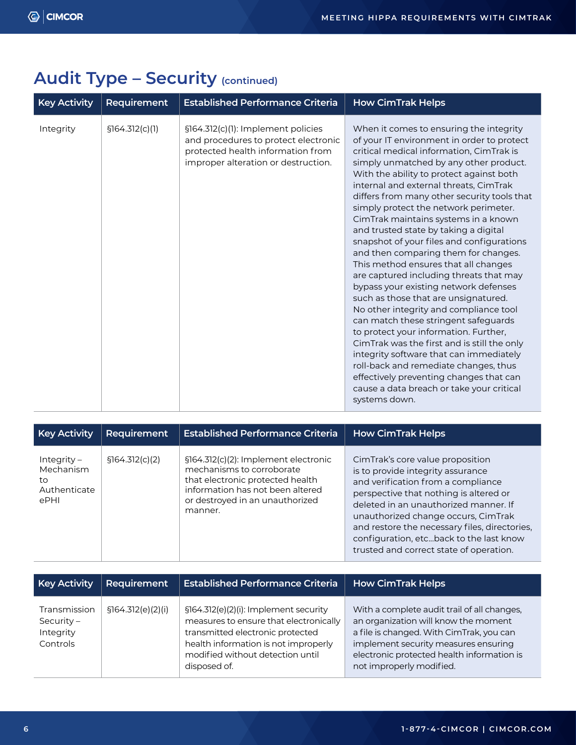| <b>Key Activity</b> | Requirement     | <b>Established Performance Criteria</b>                                                                                                                | <b>How CimTrak Helps</b>                                                                                                                                                                                                                                                                                                                                                                                                                                                                                                                                                                                                                                                                                                                                                                                                                                                                                                                                                                                                                                                   |
|---------------------|-----------------|--------------------------------------------------------------------------------------------------------------------------------------------------------|----------------------------------------------------------------------------------------------------------------------------------------------------------------------------------------------------------------------------------------------------------------------------------------------------------------------------------------------------------------------------------------------------------------------------------------------------------------------------------------------------------------------------------------------------------------------------------------------------------------------------------------------------------------------------------------------------------------------------------------------------------------------------------------------------------------------------------------------------------------------------------------------------------------------------------------------------------------------------------------------------------------------------------------------------------------------------|
| Integrity           | \$164.312(c)(1) | §164.312(c)(1): Implement policies<br>and procedures to protect electronic<br>protected health information from<br>improper alteration or destruction. | When it comes to ensuring the integrity<br>of your IT environment in order to protect<br>critical medical information, CimTrak is<br>simply unmatched by any other product.<br>With the ability to protect against both<br>internal and external threats, CimTrak<br>differs from many other security tools that<br>simply protect the network perimeter.<br>CimTrak maintains systems in a known<br>and trusted state by taking a digital<br>snapshot of your files and configurations<br>and then comparing them for changes.<br>This method ensures that all changes<br>are captured including threats that may<br>bypass your existing network defenses<br>such as those that are unsignatured.<br>No other integrity and compliance tool<br>can match these stringent safeguards<br>to protect your information. Further,<br>CimTrak was the first and is still the only<br>integrity software that can immediately<br>roll-back and remediate changes, thus<br>effectively preventing changes that can<br>cause a data breach or take your critical<br>systems down. |

# Audit Type - Security (continued)

| <b>Key Activity</b>                                      | Requirement     | <b>Established Performance Criteria</b>                                                                                                                                                 | <b>How CimTrak Helps</b>                                                                                                                                                                                                                                                                                                                                                     |
|----------------------------------------------------------|-----------------|-----------------------------------------------------------------------------------------------------------------------------------------------------------------------------------------|------------------------------------------------------------------------------------------------------------------------------------------------------------------------------------------------------------------------------------------------------------------------------------------------------------------------------------------------------------------------------|
| $Integrity -$<br>Mechanism<br>to<br>Authenticate<br>ePHI | \$164.312(c)(2) | §164.312(c)(2): Implement electronic<br>mechanisms to corroborate<br>that electronic protected health<br>information has not been altered<br>or destroyed in an unauthorized<br>manner. | CimTrak's core value proposition<br>is to provide integrity assurance<br>and verification from a compliance<br>perspective that nothing is altered or<br>deleted in an unauthorized manner. If<br>unauthorized change occurs, CimTrak<br>and restore the necessary files, directories,<br>configuration, etcback to the last know<br>trusted and correct state of operation. |

| <b>Key Activity</b>                                   | Requirement        | <b>Established Performance Criteria</b>                                                                                                                                                                         | <b>How CimTrak Helps</b>                                                                                                                                                                                                                          |
|-------------------------------------------------------|--------------------|-----------------------------------------------------------------------------------------------------------------------------------------------------------------------------------------------------------------|---------------------------------------------------------------------------------------------------------------------------------------------------------------------------------------------------------------------------------------------------|
| Transmission<br>Security $-$<br>Integrity<br>Controls | \$164.312(e)(2)(i) | §164.312(e)(2)(i): Implement security<br>measures to ensure that electronically<br>transmitted electronic protected<br>health information is not improperly<br>modified without detection until<br>disposed of. | With a complete audit trail of all changes,<br>an organization will know the moment<br>a file is changed. With CimTrak, you can<br>implement security measures ensuring<br>electronic protected health information is<br>not improperly modified. |